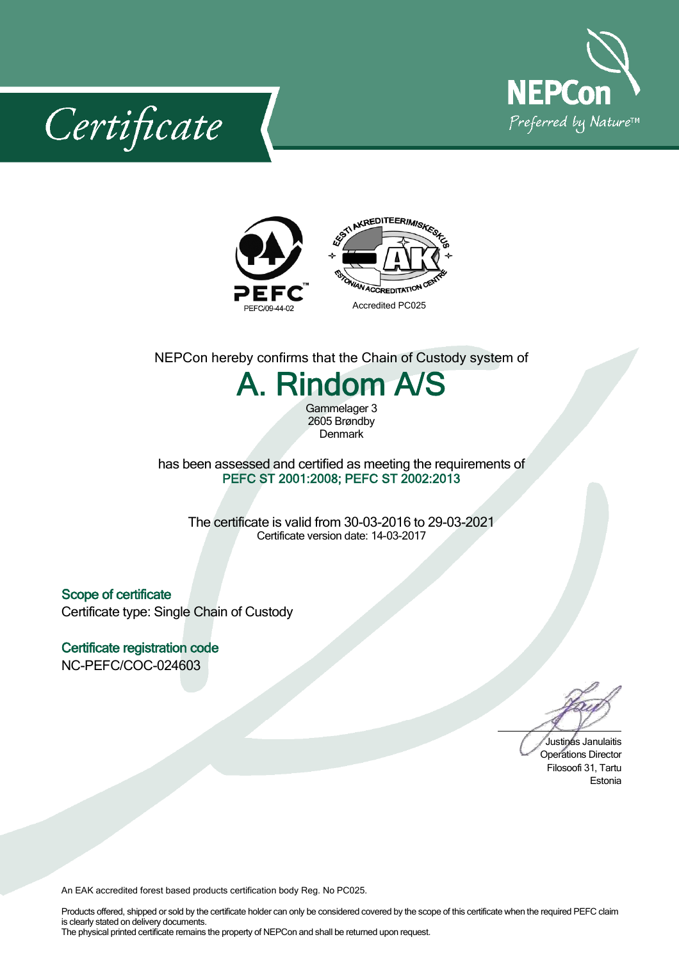

Certificate



## NEPCon hereby confirms that the Chain of Custody system of

## A. Rindom A/S

Gammelager 3 2605 Brøndby Denmark

## has been assessed and certified as meeting the requirements of PEFC ST 2001:2008; PEFC ST 2002:2013

The certificate is valid from 30-03-2016 to 29-03-2021 Certificate version date: 14-03-2017

Scope of certificate Certificate type: Single Chain of Custody

Certificate registration code NC-PEFC/COC-024603

Justinas Janulaitis Operations Director Filosoofi 31, Tartu Estonia

An EAK accredited forest based products certification body Reg. No PC025.

Products offered, shipped or sold by the certificate holder can only be considered covered by the scope of this certificate when the required PEFC claim is clearly stated on delivery documents. The physical printed certificate remains the property of NEPCon and shall be returned upon request.